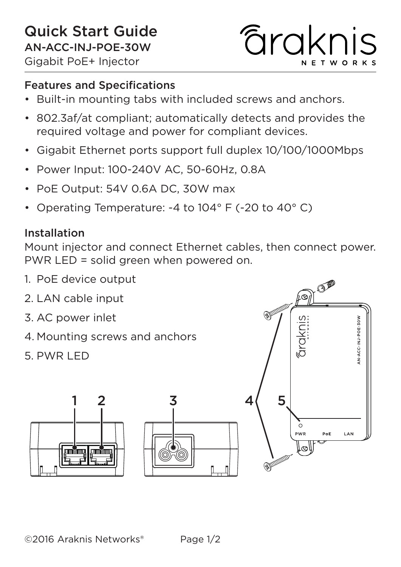# *<u>Faraknis</u>* **NETWORKS**

#### Features and Specifications

- Built-in mounting tabs with included screws and anchors.
- 802.3af/at compliant; automatically detects and provides the required voltage and power for compliant devices.
- Gigabit Ethernet ports support full duplex 10/100/1000Mbps
- Power Input: 100-240V AC, 50-60Hz, 0.8A
- PoE Output: 54V 0.6A DC, 30W max
- Operating Temperature: -4 to 104° F (-20 to 40° C)

#### Installation

Mount injector and connect Ethernet cables, then connect power. PWR LED = solid green when powered on.

- 1. PoE device output
- PI<sup>O</sup> 2. LAN cable input 3. AC power inlet I-ACC-INJ-POE-30W ārakn 4. Mounting screws and anchors 5. PWR LED 1 2 3 4 5ò PoE LAN